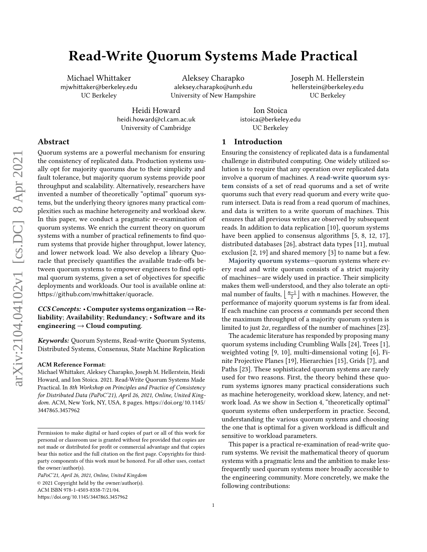# Read-Write Quorum Systems Made Practical

Michael Whittaker mjwhittaker@berkeley.edu UC Berkeley

Aleksey Charapko aleksey.charapko@unh.edu University of New Hampshire Joseph M. Hellerstein hellerstein@berkeley.edu UC Berkeley

Heidi Howard heidi.howard@cl.cam.ac.uk University of Cambridge

Ion Stoica istoica@berkeley.edu UC Berkeley

# Abstract

Quorum systems are a powerful mechanism for ensuring the consistency of replicated data. Production systems usually opt for majority quorums due to their simplicity and fault tolerance, but majority quorum systems provide poor throughput and scalability. Alternatively, researchers have invented a number of theoretically "optimal" quorum systems, but the underlying theory ignores many practical complexities such as machine heterogeneity and workload skew. In this paper, we conduct a pragmatic re-examination of quorum systems. We enrich the current theory on quorum systems with a number of practical refinements to find quorum systems that provide higher throughput, lower latency, and lower network load. We also develop a library Quoracle that precisely quantifies the available trade-offs between quorum systems to empower engineers to find optimal quorum systems, given a set of objectives for specific deployments and workloads. Our tool is available online at: <https://github.com/mwhittaker/quoracle>.

# CCS Concepts: • Computer systems organization  $\rightarrow$  Reliability; Availability; Redundancy; • Software and its engineering  $\rightarrow$  Cloud computing.

Keywords: Quorum Systems, Read-write Quorum Systems, Distributed Systems, Consensus, State Machine Replication

#### ACM Reference Format:

Michael Whittaker, Aleksey Charapko, Joseph M. Hellerstein, Heidi Howard, and Ion Stoica. 2021. Read-Write Quorum Systems Made Practical. In 8th Workshop on Principles and Practice of Consistency for Distributed Data (PaPoC'21), April 26, 2021, Online, United King-dom. ACM, New York, NY, USA, [8](#page-7-0) pages. [https://doi.org/10.1145/](https://doi.org/10.1145/3447865.3457962) [3447865.3457962](https://doi.org/10.1145/3447865.3457962)

PaPoC'21, April 26, 2021, Online, United Kingdom © 2021 Copyright held by the owner/author(s). ACM ISBN 978-1-4503-8338-7/21/04. <https://doi.org/10.1145/3447865.3457962>

# 1 Introduction

Ensuring the consistency of replicated data is a fundamental challenge in distributed computing. One widely utilized solution is to require that any operation over replicated data involve a quorum of machines. A read-write quorum system consists of a set of read quorums and a set of write quorums such that every read quorum and every write quorum intersect. Data is read from a read quorum of machines, and data is written to a write quorum of machines. This ensures that all previous writes are observed by subsequent reads. In addition to data replication [\[10\]](#page-7-1), quorum systems have been applied to consensus algorithms [\[5,](#page-7-2) [8,](#page-7-3) [12,](#page-7-4) [17\]](#page-7-5), distributed databases [\[26\]](#page-7-6), abstract data types [\[11\]](#page-7-7), mutual exclusion [\[2,](#page-7-8) [19\]](#page-7-9) and shared memory [\[3\]](#page-7-10) to name but a few.

Majority quorum systems—quorum systems where every read and write quorum consists of a strict majority of machines—are widely used in practice. Their simplicity makes them well-understood, and they also tolerate an optimal number of faults,  $\lfloor \frac{n-1}{2} \rfloor$  with *n* machines. However, the performance of majority quorum systems is far from ideal. If each machine can process  $\alpha$  commands per second then the maximum throughput of a majority quorum system is limited to just  $2\alpha$ , regardless of the number of machines [\[23\]](#page-7-11).

The academic literature has responded by proposing many quorum systems including Crumbling Walls [\[24\]](#page-7-12), Trees [\[1\]](#page-7-13), weighted voting [\[9,](#page-7-14) [10\]](#page-7-1), multi-dimensional voting [\[6\]](#page-7-15), Finite Projective Planes [\[19\]](#page-7-9), Hierarchies [\[15\]](#page-7-16), Grids [\[7\]](#page-7-17), and Paths [\[23\]](#page-7-11). These sophisticated quorum systems are rarely used for two reasons. First, the theory behind these quorum systems ignores many practical considerations such as machine heterogeneity, workload skew, latency, and network load. As we show in Section [4,](#page-5-0) "theoretically optimal" quorum systems often underperform in practice. Second, understanding the various quorum systems and choosing the one that is optimal for a given workload is difficult and sensitive to workload parameters.

This paper is a practical re-examination of read-write quorum systems. We revisit the mathematical theory of quorum systems with a pragmatic lens and the ambition to make lessfrequently used quorum systems more broadly accessible to the engineering community. More concretely, we make the following contributions:

Permission to make digital or hard copies of part or all of this work for personal or classroom use is granted without fee provided that copies are not made or distributed for profit or commercial advantage and that copies bear this notice and the full citation on the first page. Copyrights for thirdparty components of this work must be honored. For all other uses, contact the owner/author(s).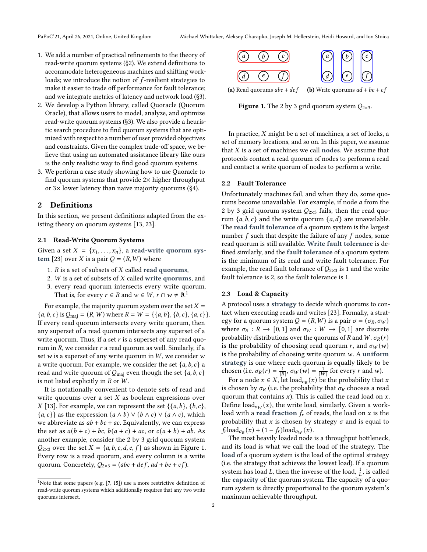- 1. We add a number of practical refinements to the theory of read-write quorum systems ([§2\)](#page-1-0). We extend definitions to accommodate heterogeneous machines and shifting workloads; we introduce the notion of  $f$ -resilient strategies to make it easier to trade off performance for fault tolerance; and we integrate metrics of latency and network load ([§3\)](#page-2-0).
- 2. We develop a Python library, called Quoracle (Quorum Oracle), that allows users to model, analyze, and optimize read-write quorum systems ([§3\)](#page-2-0). We also provide a heuristic search procedure to find quorum systems that are optimized with respect to a number of user provided objectives and constraints. Given the complex trade-off space, we believe that using an automated assistance library like ours is the only realistic way to find good quorum systems.
- 3. We perform a case study showing how to use Quoracle to find quorum systems that provide  $2\times$  higher throughput or 3× lower latency than naive majority quorums ([§4\)](#page-5-0).

# <span id="page-1-0"></span>2 Definitions

In this section, we present definitions adapted from the existing theory on quorum systems [\[13,](#page-7-18) [23\]](#page-7-11).

#### <span id="page-1-3"></span>2.1 Read-Write Quorum Systems

Given a set  $X = \{x_1, \ldots, x_n\}$ , a read-write quorum sys-tem [\[23\]](#page-7-11) over X is a pair  $Q = (R, W)$  where

- 1.  $R$  is a set of subsets of  $X$  called read quorums,
- 2.  $W$  is a set of subsets of  $X$  called write quorums, and
- 3. every read quorum intersects every write quorum. That is, for every  $r \in R$  and  $w \in W$ ,  $r \cap w \neq \emptyset$ .<sup>[1](#page-1-1)</sup>

For example, the majority quorum system over the set  $X =$  ${a, b, c}$  is  $Q_{\text{maj}} = (R, W)$  where  $R = W = { {a, b}, {b, c}, {a, c} }.$ If every read quorum intersects every write quorum, then any superset of a read quorum intersects any superset of a write quorum. Thus, if a set  $r$  is a superset of any read quorum in  $R$ , we consider  $r$  a read quorum as well. Similarly, if a set  $w$  is a superset of any write quorum in  $W$ , we consider  $w$ a write quorum. For example, we consider the set  ${a, b, c}$  a read and write quorum of  $Q_{\text{maj}}$  even though the set  $\{a, b, c\}$ is not listed explicitly in  $R$  or  $W$ .

It is notationally convenient to denote sets of read and write quorums over a set  $X$  as boolean expressions over X [\[13\]](#page-7-18). For example, we can represent the set  $\{\{a, b\}, \{b, c\},\}$  ${a, c}$  as the expression  $(a \wedge b) \vee (b \wedge c) \vee (a \wedge c)$ , which we abbreviate as  $ab + bc + ac$ . Equivalently, we can express the set as  $a(b + c) + bc$ ,  $b(a + c) + ac$ , or  $c(a + b) + ab$ . As another example, consider the 2 by 3 grid quorum system  $Q_{2\times 3}$  over the set  $X = \{a, b, c, d, e, f\}$  as shown in Figure [1.](#page-1-2) Every row is a read quorum, and every column is a write quorum. Concretely,  $Q_{2\times3} = (abc + def, ad + be + cf)$ .

<span id="page-1-2"></span>

(a) Read quorums  $abc + def$ (**b**) Write quorums  $ad + be + cf$ 

**Figure 1.** The 2 by 3 grid quorum system  $Q_{2\times 3}$ .

In practice,  $X$  might be a set of machines, a set of locks, a set of memory locations, and so on. In this paper, we assume that  $X$  is a set of machines we call nodes. We assume that protocols contact a read quorum of nodes to perform a read and contact a write quorum of nodes to perform a write.

### 2.2 Fault Tolerance

Unfortunately machines fail, and when they do, some quorums become unavailable. For example, if node  $a$  from the 2 by 3 grid quorum system  $Q_{2\times3}$  fails, then the read quorum  $\{a, b, c\}$  and the write quorum  $\{a, d\}$  are unavailable. The read fault tolerance of a quorum system is the largest number  $f$  such that despite the failure of any  $f$  nodes, some read quorum is still available. Write fault tolerance is defined similarly, and the fault tolerance of a quorum system is the minimum of its read and write fault tolerance. For example, the read fault tolerance of  $Q_{2\times 3}$  is 1 and the write fault tolerance is 2, so the fault tolerance is 1.

#### 2.3 Load & Capacity

A protocol uses a strategy to decide which quorums to contact when executing reads and writes [\[23\]](#page-7-11). Formally, a strategy for a quorum system  $Q = (R, W)$  is a pair  $\sigma = (\sigma_R, \sigma_W)$ where  $\sigma_R : R \to [0, 1]$  and  $\sigma_W : W \to [0, 1]$  are discrete probability distributions over the quorums of R and W.  $\sigma_R(r)$ is the probability of choosing read quorum r, and  $\sigma_W(w)$ is the probability of choosing write quorum  $w$ . A uniform strategy is one where each quorum is equally likely to be chosen (i.e.  $\sigma_R(r) = \frac{1}{|R|}, \sigma_W(w) = \frac{1}{|W|}$  for every r and w).

For a node  $x \in X$ , let load<sub> $\sigma_R(x)$ </sub> be the probability that x is chosen by  $\sigma_R$  (i.e. the probability that  $\sigma_R$  chooses a read quorum that contains  $x$ ). This is called the read load on  $x$ . Define load<sub> $\sigma_W(x)$ </sub>, the write load, similarly. Given a workload with a read fraction  $f_r$  of reads, the load on  $x$  is the probability that  $x$  is chosen by strategy  $\sigma$  and is equal to  $f_r \text{load}_{\sigma_R}(x) + (1 - f_r) \text{load}_{\sigma_W}(x).$ 

The most heavily loaded node is a throughput bottleneck, and its load is what we call the load of the strategy. The load of a quorum system is the load of the optimal strategy (i.e. the strategy that achieves the lowest load). If a quorum system has load L, then the inverse of the load,  $\frac{1}{L}$ , is called the capacity of the quorum system. The capacity of a quorum system is directly proportional to the quorum system's maximum achievable throughput.

<span id="page-1-1"></span><sup>&</sup>lt;sup>1</sup>Note that some papers (e.g.  $[7, 15]$  $[7, 15]$  $[7, 15]$ ) use a more restrictive definition of read-write quorum systems which additionally requires that any two write quorums intersect.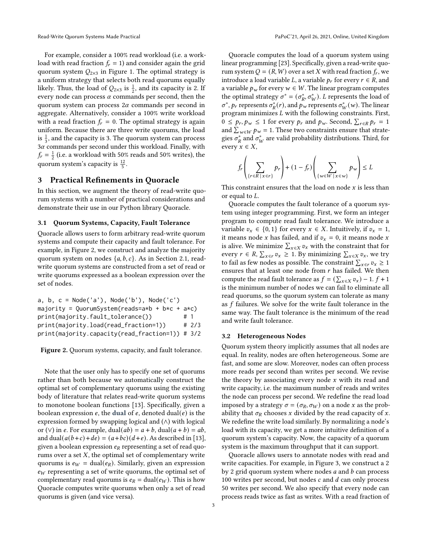For example, consider a 100% read workload (i.e. a workload with read fraction  $f_r = 1$ ) and consider again the grid quorum system  $Q_{2\times 3}$  in Figure [1.](#page-1-2) The optimal strategy is a uniform strategy that selects both read quorums equally likely. Thus, the load of  $Q_{2\times 3}$  is  $\frac{1}{2}$ , and its capacity is 2. If every node can process  $\alpha$  commands per second, then the quorum system can process  $2\alpha$  commands per second in aggregate. Alternatively, consider a 100% write workload with a read fraction  $f_r = 0$ . The optimal strategy is again uniform. Because there are three write quorums, the load is  $\frac{1}{3}$ , and the capacity is 3. The quorum system can process  $3\alpha$  commands per second under this workload. Finally, with  $f_r = \frac{1}{2}$  (i.e. a workload with 50% reads and 50% writes), the quorum system's capacity is  $\frac{12}{5}$ .

# <span id="page-2-0"></span>3 Practical Refinements in Quoracle

In this section, we augment the theory of read-write quorum systems with a number of practical considerations and demonstrate their use in our Python library Quoracle.

#### 3.1 Quorum Systems, Capacity, Fault Tolerance

Quoracle allows users to form arbitrary read-write quorum systems and compute their capacity and fault tolerance. For example, in Figure [2,](#page-2-1) we construct and analyze the majority quorum system on nodes  $\{a, b, c\}$ . As in Section [2.1,](#page-1-3) readwrite quorum systems are constructed from a set of read or write quorums expressed as a boolean expression over the set of nodes.

<span id="page-2-1"></span>

| a, b, $c = Node('a')$ , $Node('b')$ , $Node('c')$ |     |         |
|---------------------------------------------------|-----|---------|
| majority = $QuorumSystem(reads=a*b + b*c + a*c)$  |     |         |
| print(majority.fault_tolerance())                 | # 1 |         |
| print(majority.load(read_fraction=1))             |     | # $2/3$ |
| print(majority.capacity(read_fraction=1)) # 3/2   |     |         |

#### Figure 2. Quorum systems, capacity, and fault tolerance.

Note that the user only has to specify one set of quorums rather than both because we automatically construct the optimal set of complementary quorums using the existing body of literature that relates read-write quorum systems to monotone boolean functions [\[13\]](#page-7-18). Specifically, given a boolean expression  $e$ , the dual of  $e$ , denoted dual( $e$ ) is the expression formed by swapping logical and (∧) with logical or (∨) in e. For example, dual( $ab$ ) =  $a + b$ , dual( $a + b$ ) =  $ab$ , and dual( $a(b+c)+de$ ) = ( $a+bc$ )( $d+e$ ). As described in [\[13\]](#page-7-18), given a boolean expression  $e_R$  representing a set of read quorums over a set  $X$ , the optimal set of complementary write quorums is  $e_W = \text{dual}(e_R)$ . Similarly, given an expression  $e_W$  representing a set of write quorums, the optimal set of complementary read quorums is  $e_R = \text{dual}(e_W)$ . This is how Quoracle computes write quorums when only a set of read quorums is given (and vice versa).

Quoracle computes the load of a quorum system using linear programming [\[23\]](#page-7-11). Specifically, given a read-write quorum system  $Q = (R, W)$  over a set X with read fraction  $f_r$ , we introduce a load variable L, a variable  $p_r$  for every  $r \in R$ , and a variable  $p_w$  for every  $w \in W$ . The linear program computes the optimal strategy  $\sigma^* = (\sigma_R^*, \sigma_W^*)$ . L represents the load of  $\sigma^*$ ,  $p_r$  represents  $\sigma^*_{R}(r)$ , and  $p_w$  represents  $\sigma^*_{W}(w)$ . The linear program minimizes  $L$  with the following constraints. First,  $0 \le p_r, p_w \le 1$  for every  $p_r$  and  $p_w$ . Second,  $\sum_{r \in R} p_r = 1$ and  $\sum_{w \in W} p_w = 1$ . These two constraints ensure that strategies  $\sigma_R^*$  and  $\sigma_W^*$  are valid probability distributions. Third, for every  $x \in X$ ,

$$
f_r\left(\sum_{\{r\in R\,|\,x\in r\}}p_r\right) + (1 - f_r)\left(\sum_{\{w\in W\,|\,x\in w\}}p_w\right) \le L
$$

This constraint ensures that the load on node  $x$  is less than or equal to  $L$ .

Quoracle computes the fault tolerance of a quorum system using integer programming. First, we form an integer program to compute read fault tolerance. We introduce a variable  $v_x \in \{0, 1\}$  for every  $x \in X$ . Intuitively, if  $v_x = 1$ , it means node *x* has failed, and if  $v_x = 0$ , it means node *x* is alive. We minimize  $\sum_{x \in X} v_x$  with the constraint that for every  $r \in R$ ,  $\sum_{x \in r} v_x \ge 1$ . By minimizing  $\sum_{x \in X} v_x$ , we try to fail as few nodes as possible. The constraint  $\sum_{x \in r} v_x \ge 1$ ensures that at least one node from  $r$  has failed. We then compute the read fault tolerance as  $f = (\sum_{x \in X} v_x) - 1$ .  $f + 1$ is the minimum number of nodes we can fail to eliminate all read quorums, so the quorum system can tolerate as many as  $f$  failures. We solve for the write fault tolerance in the same way. The fault tolerance is the minimum of the read and write fault tolerance.

#### 3.2 Heterogeneous Nodes

Quorum system theory implicitly assumes that all nodes are equal. In reality, nodes are often heterogeneous. Some are fast, and some are slow. Moreover, nodes can often process more reads per second than writes per second. We revise the theory by associating every node  $x$  with its read and write capacity, i.e. the maximum number of reads and writes the node can process per second. We redefine the read load imposed by a strategy  $\sigma = (\sigma_R, \sigma_W)$  on a node x as the probability that  $\sigma_R$  chooses x divided by the read capacity of x. We redefine the write load similarly. By normalizing a node's load with its capacity, we get a more intuitive definition of a quorum system's capacity. Now, the capacity of a quorum system is the maximum throughput that it can support.

Quoracle allows users to annotate nodes with read and write capacities. For example, in Figure [3,](#page-3-0) we construct a 2 by 2 grid quorum system where nodes  $a$  and  $b$  can process 100 writes per second, but nodes  $c$  and  $d$  can only process 50 writes per second. We also specify that every node can process reads twice as fast as writes. With a read fraction of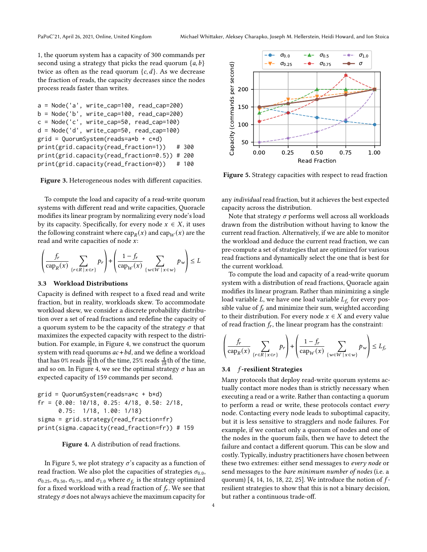1, the quorum system has a capacity of 300 commands per second using a strategy that picks the read quorum  $\{a, b\}$ twice as often as the read quorum  ${c, d}$ . As we decrease the fraction of reads, the capacity decreases since the nodes process reads faster than writes.

```
a = Node('a', write_cap=100, read_cap=200)
b = Node('b', write_cap=100, read_cap=200)
c = Node('c', write_cap=50, read_cap=100)
d = Node('d', write_cap=50, read_cap=100)
grid = QuorumSystem(reads=a*b + c*d)
print(grid.capacity(read_fraction=1)) # 300
print(grid.capacity(read_fraction=0.5)) # 200
print(grid.capacity(read_fraction=0)) # 100
```
Figure 3. Heterogeneous nodes with different capacities.

To compute the load and capacity of a read-write quorum systems with different read and write capacities, Quoracle modifies its linear program by normalizing every node's load by its capacity. Specifically, for every node  $x \in X$ , it uses the following constraint where  $\text{cap}_R(x)$  and  $\text{cap}_W(x)$  are the read and write capacities of node  $x$ :

$$
\left(\frac{f_r}{\operatorname{cap}_R(x)} \sum_{\{r \in R \mid x \in r\}} p_r\right) + \left(\frac{1 - f_r}{\operatorname{cap}_W(x)} \sum_{\{w \in W \mid x \in w\}} p_w\right) \le L
$$

#### 3.3 Workload Distributions

Capacity is defined with respect to a fixed read and write fraction, but in reality, workloads skew. To accommodate workload skew, we consider a discrete probability distribution over a set of read fractions and redefine the capacity of a quorum system to be the capacity of the strategy  $\sigma$  that maximizes the expected capacity with respect to the distribution. For example, in Figure [4,](#page-3-1) we construct the quorum system with read quorums  $ac + bd$ , and we define a workload that has 0% reads  $\frac{10}{18}$ th of the time, 25% reads  $\frac{4}{18}$ th of the time, and so on. In Figure [4,](#page-3-1) we see the optimal strategy  $\sigma$  has an expected capacity of 159 commands per second.

```
grid = QuorumSystem(reads=a*c + b*d)
fr = {0.00: 10/18, 0.25: 4/18, 0.50: 2/18,
      0.75: 1/18, 1.00: 1/18}
sigma = grid.strategy(read_fraction=fr)
print(sigma.capacity(read_fraction=fr)) # 159
```


In Figure [5,](#page-3-2) we plot strategy  $\sigma$ 's capacity as a function of read fraction. We also plot the capacities of strategies  $\sigma_{0.0}$ ,  $\sigma_{0.25}, \sigma_{0.50}, \sigma_{0.75},$  and  $\sigma_{1.0}$  where  $\sigma_{f_r}$  is the strategy optimized for a fixed workload with a read fraction of  $f_r$ . We see that strategy  $\sigma$  does not always achieve the maximum capacity for

<span id="page-3-2"></span>

Figure 5. Strategy capacities with respect to read fraction

any individual read fraction, but it achieves the best expected capacity across the distribution.

Note that strategy  $\sigma$  performs well across all workloads drawn from the distribution without having to know the current read fraction. Alternatively, if we are able to monitor the workload and deduce the current read fraction, we can pre-compute a set of strategies that are optimized for various read fractions and dynamically select the one that is best for the current workload.

To compute the load and capacity of a read-write quorum system with a distribution of read fractions, Quoracle again modifies its linear program. Rather than minimizing a single load variable L, we have one load variable  $L_f$  for every possible value of  $f_r$  and minimize their sum, weighted according to their distribution. For every node  $x \in X$  and every value of read fraction  $f_r$ , the linear program has the constraint:

$$
\left(\frac{f_r}{\operatorname{cap}_R(x)} \sum_{\{r \in R \mid x \in r\}} p_r\right) + \left(\frac{1 - f_r}{\operatorname{cap}_W(x)} \sum_{\{w \in W \mid x \in w\}} p_w\right) \le L_{f_r}
$$

#### 3.4 f-resilient Strategies

Many protocols that deploy read-write quorum systems actually contact more nodes than is strictly necessary when executing a read or a write. Rather than contacting a quorum to perform a read or write, these protocols contact every node. Contacting every node leads to suboptimal capacity, but it is less sensitive to stragglers and node failures. For example, if we contact only a quorum of nodes and one of the nodes in the quorum fails, then we have to detect the failure and contact a different quorum. This can be slow and costly. Typically, industry practitioners have chosen between these two extremes: either send messages to every node or send messages to the bare minimum number of nodes (i.e. a quorum)  $[4, 14, 16, 18, 22, 25]$  $[4, 14, 16, 18, 22, 25]$  $[4, 14, 16, 18, 22, 25]$  $[4, 14, 16, 18, 22, 25]$  $[4, 14, 16, 18, 22, 25]$  $[4, 14, 16, 18, 22, 25]$  $[4, 14, 16, 18, 22, 25]$  $[4, 14, 16, 18, 22, 25]$  $[4, 14, 16, 18, 22, 25]$  $[4, 14, 16, 18, 22, 25]$  $[4, 14, 16, 18, 22, 25]$ . We introduce the notion of  $f$ resilient strategies to show that this is not a binary decision, but rather a continuous trade-off.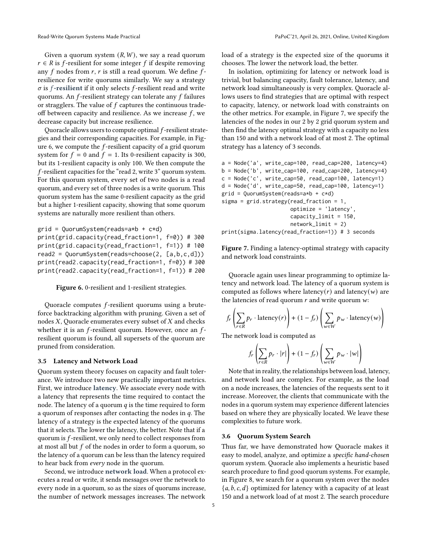Given a quorum system  $(R, W)$ , we say a read quorum  $r \in R$  is f-resilient for some integer f if despite removing any  $f$  nodes from  $r$ ,  $r$  is still a read quorum. We define  $f$ resilience for write quorums similarly. We say a strategy  $\sigma$  is *f*-resilient if it only selects *f*-resilient read and write quorums. An  $f$ -resilient strategy can tolerate any  $f$  failures or stragglers. The value of  $f$  captures the continuous tradeoff between capacity and resilience. As we increase  $f$ , we decrease capacity but increase resilience.

Quoracle allows users to compute optimal  $f$ -resilient strategies and their corresponding capacities. For example, in Fig-ure [6,](#page-4-0) we compute the  $f$ -resilient capacity of a grid quorum system for  $f = 0$  and  $f = 1$ . Its 0-resilient capacity is 300, but its 1-resilient capacity is only 100. We then compute the -resilient capacities for the "read 2, write 3" quorum system. For this quorum system, every set of two nodes is a read quorum, and every set of three nodes is a write quorum. This quorum system has the same 0-resilient capacity as the grid but a higher 1-resilient capacity, showing that some quorum systems are naturally more resilient than others.

```
grid = QuorumSystem(reads=a*b + c*d)
print(grid.capacity(read_fraction=1, f=0)) # 300
print(grid.capacity(read_fraction=1, f=1)) # 100
read2 = QuorumSystem(reads=choose(2, [a,b,c,d]))
print(read2.capacity(read_fraction=1, f=0)) # 300
print(read2.capacity(read_fraction=1, f=1)) # 200
```
Figure 6. 0-resilient and 1-resilient strategies.

Quoracle computes *f*-resilient quorums using a bruteforce backtracking algorithm with pruning. Given a set of nodes  $X$ , Quoracle enumerates every subset of  $X$  and checks whether it is an  $f$ -resilient quorum. However, once an  $f$ resilient quorum is found, all supersets of the quorum are pruned from consideration.

#### 3.5 Latency and Network Load

Quorum system theory focuses on capacity and fault tolerance. We introduce two new practically important metrics. First, we introduce latency. We associate every node with a latency that represents the time required to contact the node. The latency of a quorum  $q$  is the time required to form a quorum of responses after contacting the nodes in  $q$ . The latency of a strategy is the expected latency of the quorums that it selects. The lower the latency, the better. Note that if a quorum is  $f$ -resilient, we only need to collect responses from at most all but  $f$  of the nodes in order to form a quorum, so the latency of a quorum can be less than the latency required to hear back from every node in the quorum.

Second, we introduce network load. When a protocol executes a read or write, it sends messages over the network to every node in a quorum, so as the sizes of quorums increase, the number of network messages increases. The network

load of a strategy is the expected size of the quorums it chooses. The lower the network load, the better.

In isolation, optimizing for latency or network load is trivial, but balancing capacity, fault tolerance, latency, and network load simultaneously is very complex. Quoracle allows users to find strategies that are optimal with respect to capacity, latency, or network load with constraints on the other metrics. For example, in Figure [7,](#page-4-1) we specify the latencies of the nodes in our 2 by 2 grid quorum system and then find the latency optimal strategy with a capacity no less than 150 and with a network load of at most 2. The optimal strategy has a latency of 3 seconds.

```
a = Node('a', write_cap=100, read_cap=200, latency=4)
b = Node('b', write\_cap=100, read\_cap=200, latency=4)c = Node('c', write_cap=50, read_cap=100, latency=1)
d = Node('d', write_cap=50, read_cap=100, latency=1)
grid = QuorumSystem(reads=a*b + c*d)
sigma = grid.strategy(read_fraction = 1,
                      optimize = 'latency',
                      capacitylimit = 150,
                      network_limit = 2)
print(sigma.latency(read_fraction=1)) # 3 seconds
```
Figure 7. Finding a latency-optimal strategy with capacity and network load constraints.

Quoracle again uses linear programming to optimize latency and network load. The latency of a quorum system is computed as follows where latency(r) and latency(w) are the latencies of read quorum  $r$  and write quorum  $w$ :

$$
f_r\left(\sum_{r \in R} p_r \cdot \text{latency}(r)\right) + (1 - f_r) \left(\sum_{w \in W} p_w \cdot \text{latency}(w)\right)
$$

The network load is computed as

$$
f_r\left(\sum_{r\in R} p_r \cdot |r|\right) + (1 - f_r) \left(\sum_{w\in W} p_w \cdot |w|\right)
$$

Note that in reality, the relationships between load, latency, and network load are complex. For example, as the load on a node increases, the latencies of the requests sent to it increase. Moreover, the clients that communicate with the nodes in a quorum system may experience different latencies based on where they are physically located. We leave these complexities to future work.

## 3.6 Quorum System Search

Thus far, we have demonstrated how Quoracle makes it easy to model, analyze, and optimize a specific hand-chosen quorum system. Quoracle also implements a heuristic based search procedure to find good quorum systems. For example, in Figure [8,](#page-5-1) we search for a quorum system over the nodes  ${a, b, c, d}$  optimized for latency with a capacity of at least 150 and a network load of at most 2. The search procedure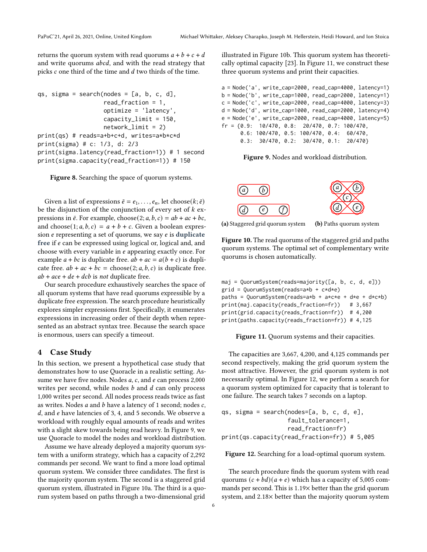returns the quorum system with read quorums  $a + b + c + d$ and write quorums *abcd*, and with the read strategy that picks  $c$  one third of the time and  $d$  two thirds of the time.

```
qs, sigma = search(nodes = [a, b, c, d],
                   read_fraction = 1,
                   optimize = 'latency',
                   capacity_limit = 150,
                   network_limit = 2)
print(qs) # reads=a+b+c+d, writes=a*b*c*d
print(sigma) # c: 1/3, d: 2/3
print(sigma.latency(read_fraction=1)) # 1 second
print(sigma.capacity(read_fraction=1)) # 150
```
Figure 8. Searching the space of quorum systems.

Given a list of expressions  $\bar{e} = e_1, \ldots, e_n$ , let choose( $k; \bar{e}$ ) be the disjunction of the conjunction of every set of  $k$  expressions in  $\bar{e}$ . For example, choose(2;  $a, b, c$ ) =  $ab + ac + bc$ , and choose  $(1; a, b, c) = a + b + c$ . Given a boolean expression  $e$  representing a set of quorums, we say  $e$  is duplicate free if  $e$  can be expressed using logical or, logical and, and choose with every variable in  $e$  appearing exactly once. For example  $a + bc$  is duplicate free.  $ab + ac = a(b + c)$  is duplicate free.  $ab + ac + bc = \text{choose}(2; a, b, c)$  is duplicate free.  $ab + ace + de + dcb$  is not duplicate free.

Our search procedure exhaustively searches the space of all quorum systems that have read quorums expressible by a duplicate free expression. The search procedure heuristically explores simpler expressions first. Specifically, it enumerates expressions in increasing order of their depth when represented as an abstract syntax tree. Because the search space is enormous, users can specify a timeout.

# <span id="page-5-0"></span>4 Case Study

In this section, we present a hypothetical case study that demonstrates how to use Quoracle in a realistic setting. Assume we have five nodes. Nodes  $a$ ,  $c$ , and  $e$  can process 2,000 writes per second, while nodes  $b$  and  $d$  can only process 1,000 writes per second. All nodes process reads twice as fast as writes. Nodes  $a$  and  $b$  have a latency of 1 second; nodes  $c$ ,  $d$ , and  $e$  have latencies of 3, 4, and 5 seconds. We observe a workload with roughly equal amounts of reads and writes with a slight skew towards being read heavy. In Figure [9,](#page-5-2) we use Quoracle to model the nodes and workload distribution.

Assume we have already deployed a majority quorum system with a uniform strategy, which has a capacity of 2,292 commands per second. We want to find a more load optimal quorum system. We consider three candidates. The first is the majority quorum system. The second is a staggered grid quorum system, illustrated in Figure [10a.](#page-5-3) The third is a quorum system based on paths through a two-dimensional grid

illustrated in Figure [10b.](#page-5-3) This quorum system has theoretically optimal capacity [\[23\]](#page-7-11). In Figure [11,](#page-5-4) we construct these three quorum systems and print their capacities.

```
a = Node('a', write_cap=2000, read_cap=4000, latency=1)
b = Node('b', write_cap=1000, read_cap=2000, latency=1)
c = Node('c', write\_cap=2000, read\_cap=4000, latency=3)d = Node('d', write_cap=1000, read_cap=2000, latency=4)
e = Node('e', write_cap=2000, read_cap=4000, latency=5)
fr = {0.9: 10/470, 0.8: 20/470, 0.7: 100/470,
      0.6: 100/470, 0.5: 100/470, 0.4: 60/470,
      0.3: 30/470, 0.2: 30/470, 0.1: 20/470}
```
Figure 9. Nodes and workload distribution.

<span id="page-5-3"></span>

(a) Staggered grid quorum system (b) Paths quorum system

Figure 10. The read quorums of the staggered grid and paths quorum systems. The optimal set of complementary write quorums is chosen automatically.

<span id="page-5-4"></span>

| $maj = QuorumSystem(reads = majority([a, b, c, d, e]))$ |  |
|---------------------------------------------------------|--|
| $grid = QuorumSystem(reads=a*b + c*d*e)$                |  |
| paths = $QuorumSystem(reads=axb + axc*e + dxe + dxc*b)$ |  |
| $print(maxicapacity(reads-fraction=fr))$ # 3,667        |  |
| $print(grid.capacity(reads_fraction=fr))$ # 4,200       |  |
| $print(paths.capacity(reads_friends=fr)$ # 4,125        |  |
|                                                         |  |

Figure 11. Quorum systems and their capacities.

The capacities are 3,667, 4,200, and 4,125 commands per second respectively, making the grid quorum system the most attractive. However, the grid quorum system is not necessarily optimal. In Figure [12,](#page-5-5) we perform a search for a quorum system optimized for capacity that is tolerant to one failure. The search takes 7 seconds on a laptop.

```
qs, sigma = search(nodes=[a, b, c, d, e],
                   fault_tolerance=1,
                   read_fraction=fr)
print(qs.capacity(read_fraction=fr)) # 5,005
```
Figure 12. Searching for a load-optimal quorum system.

The search procedure finds the quorum system with read quorums  $(c + bd)(a + e)$  which has a capacity of 5,005 commands per second. This is 1.19× better than the grid quorum system, and 2.18× better than the majority quorum system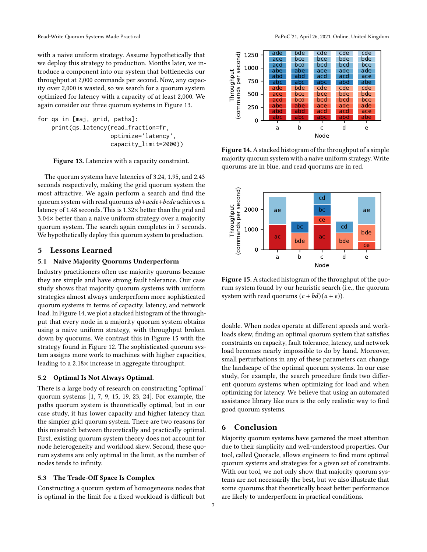with a naive uniform strategy. Assume hypothetically that we deploy this strategy to production. Months later, we introduce a component into our system that bottlenecks our throughput at 2,000 commands per second. Now, any capacity over 2,000 is wasted, so we search for a quorum system optimized for latency with a capacity of at least 2,000. We again consider our three quorum systems in Figure [13.](#page-6-0)

```
for qs in [maj, grid, paths]:
    print(qs.latency(read_fraction=fr,
                     optimize='latency',
                     capacity_limit=2000))
```
Figure 13. Latencies with a capacity constraint.

The quorum systems have latencies of 3.24, 1.95, and 2.43 seconds respectively, making the grid quorum system the most attractive. We again perform a search and find the quorum system with read quorums  $ab + acde + bcde$  achieves a latency of 1.48 seconds. This is 1.32× better than the grid and 3.04× better than a naive uniform strategy over a majority quorum system. The search again completes in 7 seconds. We hypothetically deploy this quorum system to production.

#### 5 Lessons Learned

#### 5.1 Naive Majority Quorums Underperform

Industry practitioners often use majority quorums because they are simple and have strong fault tolerance. Our case study shows that majority quorum systems with uniform strategies almost always underperform more sophisticated quorum systems in terms of capacity, latency, and network load. In Figure [14,](#page-6-1) we plot a stacked histogram of the throughput that every node in a majority quorum system obtains using a naive uniform strategy, with throughput broken down by quorums. We contrast this in Figure [15](#page-6-2) with the strategy found in Figure [12.](#page-5-5) The sophisticated quorum system assigns more work to machines with higher capacities, leading to a 2.18× increase in aggregate throughput.

#### 5.2 Optimal Is Not Always Optimal.

There is a large body of research on constructing "optimal" quorum systems [\[1,](#page-7-13) [7,](#page-7-17) [9,](#page-7-14) [15,](#page-7-16) [19,](#page-7-9) [23,](#page-7-11) [24\]](#page-7-12). For example, the paths quorum system is theoretically optimal, but in our case study, it has lower capacity and higher latency than the simpler grid quorum system. There are two reasons for this mismatch between theoretically and practically optimal. First, existing quorum system theory does not account for node heterogeneity and workload skew. Second, these quorum systems are only optimal in the limit, as the number of nodes tends to infinity.

# 5.3 The Trade-Off Space Is Complex

Constructing a quorum system of homogeneous nodes that is optimal in the limit for a fixed workload is difficult but

Read-Write Quorum Systems Made Practical **PapoC'21, April 26, 2021, Online, United Kingdom** 

<span id="page-6-1"></span>

Figure 14. A stacked histogram of the throughput of a simple majority quorum system with a naive uniform strategy. Write quorums are in blue, and read quorums are in red.

<span id="page-6-2"></span>

Figure 15. A stacked histogram of the throughput of the quorum system found by our heuristic search (i.e., the quorum system with read quorums  $(c + bd)(a + e)$ .

doable. When nodes operate at different speeds and workloads skew, finding an optimal quorum system that satisfies constraints on capacity, fault tolerance, latency, and network load becomes nearly impossible to do by hand. Moreover, small perturbations in any of these parameters can change the landscape of the optimal quorum systems. In our case study, for example, the search procedure finds two different quorum systems when optimizing for load and when optimizing for latency. We believe that using an automated assistance library like ours is the only realistic way to find good quorum systems.

## 6 Conclusion

Majority quorum systems have garnered the most attention due to their simplicity and well-understood properties. Our tool, called Quoracle, allows engineers to find more optimal quorum systems and strategies for a given set of constraints. With our tool, we not only show that majority quorum systems are not necessarily the best, but we also illustrate that some quorums that theoretically boast better performance are likely to underperform in practical conditions.